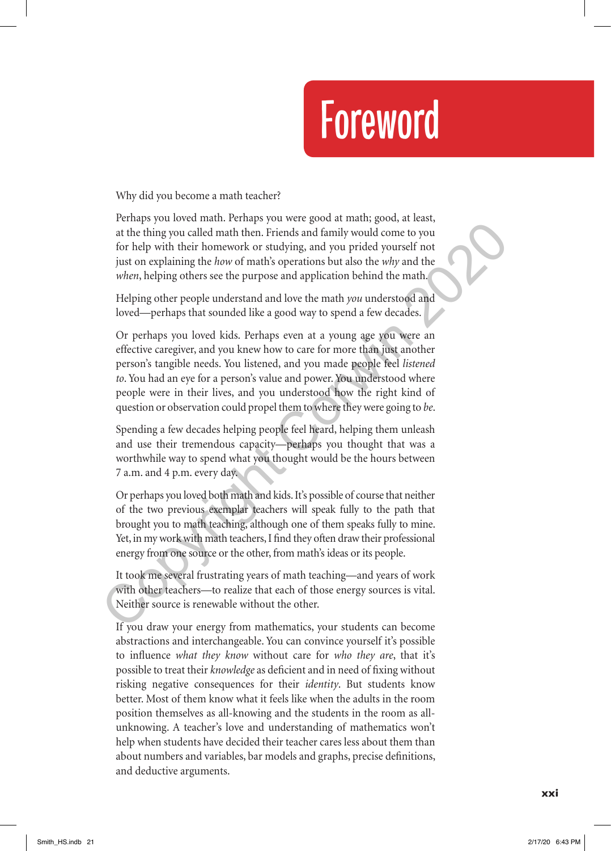## Foreword

Why did you become a math teacher?

Perhaps you loved math. Perhaps you were good at math; good, at least, at the thing you called math then. Friends and family would come to you for help with their homework or studying, and you prided yourself not just on explaining the *how* of math's operations but also the *why* and the *when*, helping others see the purpose and application behind the math.

Helping other people understand and love the math *you* understood and loved—perhaps that sounded like a good way to spend a few decades.

Or perhaps you loved kids. Perhaps even at a young age you were an effective caregiver, and you knew how to care for more than just another person's tangible needs. You listened, and you made people feel *listened to*. You had an eye for a person's value and power. You understood where people were in their lives, and you understood how the right kind of question or observation could propel them to where they were going to *be*. extrainery by a convention collap method of the thing by a set a convention of the phing you called math then. Friends and family would come to you for help with their homework or studying, and you prided yourself not just

Spending a few decades helping people feel heard, helping them unleash and use their tremendous capacity—perhaps you thought that was a worthwhile way to spend what you thought would be the hours between 7 a.m. and 4 p.m. every day.

Or perhaps you loved both math and kids. It's possible of course that neither of the two previous exemplar teachers will speak fully to the path that brought you to math teaching, although one of them speaks fully to mine. Yet, in my work with math teachers, I find they often draw their professional energy from one source or the other, from math's ideas or its people.

It took me several frustrating years of math teaching—and years of work with other teachers—to realize that each of those energy sources is vital. Neither source is renewable without the other.

If you draw your energy from mathematics, your students can become abstractions and interchangeable. You can convince yourself it's possible to influence *what they know* without care for *who they are*, that it's possible to treat their *knowledge* as deficient and in need of fixing without risking negative consequences for their *identity*. But students know better. Most of them know what it feels like when the adults in the room position themselves as all-knowing and the students in the room as allunknowing. A teacher's love and understanding of mathematics won't help when students have decided their teacher cares less about them than about numbers and variables, bar models and graphs, precise definitions, and deductive arguments.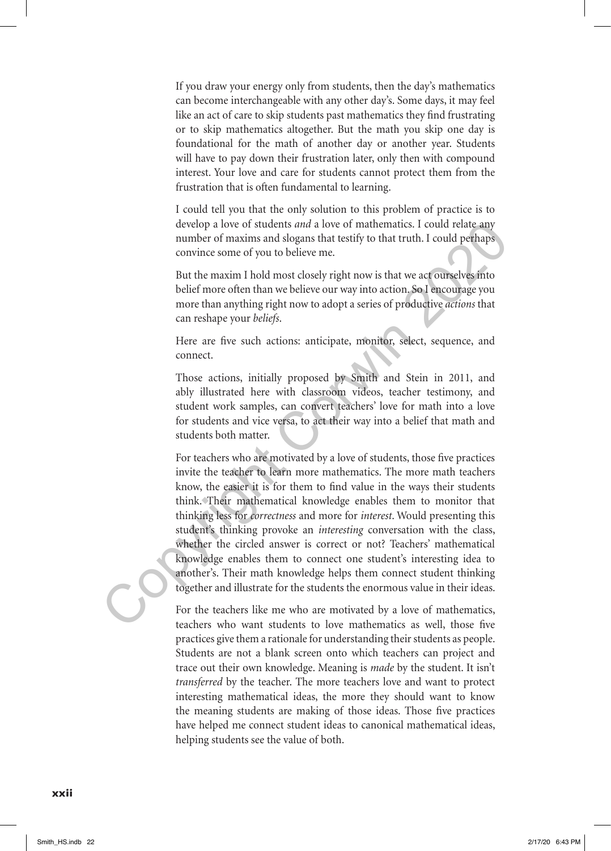If you draw your energy only from students, then the day's mathematics can become interchangeable with any other day's. Some days, it may feel like an act of care to skip students past mathematics they find frustrating or to skip mathematics altogether. But the math you skip one day is foundational for the math of another day or another year. Students will have to pay down their frustration later, only then with compound interest. Your love and care for students cannot protect them from the frustration that is often fundamental to learning.

I could tell you that the only solution to this problem of practice is to develop a love of students *and* a love of mathematics. I could relate any number of maxims and slogans that testify to that truth. I could perhaps convince some of you to believe me.

But the maxim I hold most closely right now is that we act ourselves into belief more often than we believe our way into action. So I encourage you more than anything right now to adopt a series of productive *actions* that can reshape your *beliefs*.

Here are five such actions: anticipate, monitor, select, sequence, and connect.

Those actions, initially proposed by Smith and Stein in 2011, and ably illustrated here with classroom videos, teacher testimony, and student work samples, can convert teachers' love for math into a love for students and vice versa, to act their way into a belief that math and students both matter.

For teachers who are motivated by a love of students, those five practices invite the teacher to learn more mathematics. The more math teachers know, the easier it is for them to find value in the ways their students think. Their mathematical knowledge enables them to monitor that thinking less for *correctness* and more for *interest*. Would presenting this student's thinking provoke an *interesting* conversation with the class, whether the circled answer is correct or not? Teachers' mathematical knowledge enables them to connect one student's interesting idea to another's. Their math knowledge helps them connect student thinking together and illustrate for the students the enormous value in their ideas. develop a love of students *and* a love of mathematics. I could relate any<br>number of maxims and slogans that testify to that truth. I could relate<br>province some of you to believe me.<br>But the maxim I hold most closely right

For the teachers like me who are motivated by a love of mathematics, teachers who want students to love mathematics as well, those five practices give them a rationale for understanding their students as people. Students are not a blank screen onto which teachers can project and trace out their own knowledge. Meaning is *made* by the student. It isn't *transferred* by the teacher. The more teachers love and want to protect interesting mathematical ideas, the more they should want to know the meaning students are making of those ideas. Those five practices have helped me connect student ideas to canonical mathematical ideas, helping students see the value of both.